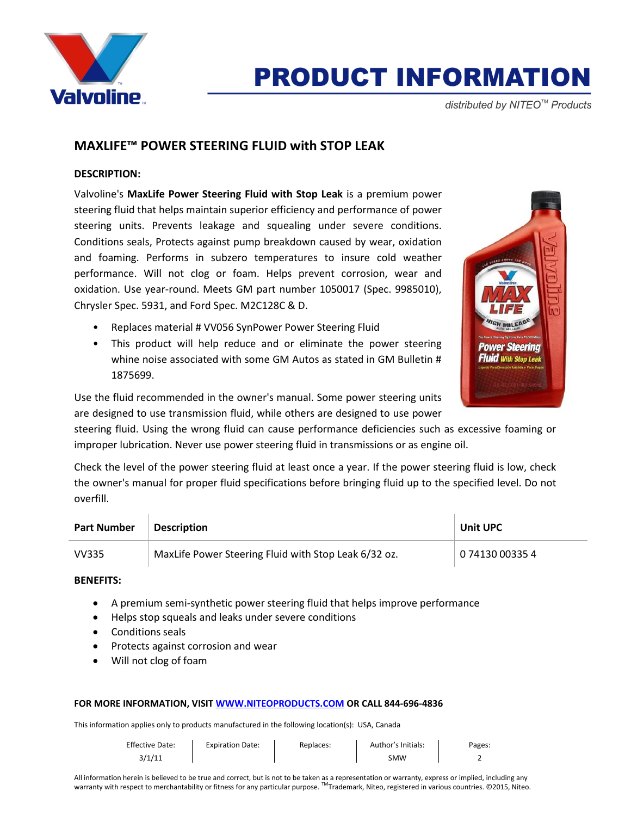

# **PRODUCT INFORMATION**

distributed by NITEO<sup>™</sup> Products

# **MAXLIFE™ POWER STEERING FLUID with STOP LEAK**

## **DESCRIPTION:**

Valvoline's **MaxLife Power Steering Fluid with Stop Leak** is a premium power steering fluid that helps maintain superior efficiency and performance of power steering units. Prevents leakage and squealing under severe conditions. Conditions seals, Protects against pump breakdown caused by wear, oxidation and foaming. Performs in subzero temperatures to insure cold weather performance. Will not clog or foam. Helps prevent corrosion, wear and oxidation. Use year-round. Meets GM part number 1050017 (Spec. 9985010), Chrysler Spec. 5931, and Ford Spec. M2C128C & D.

- Replaces material # VV056 SynPower Power Steering Fluid
- This product will help reduce and or eliminate the power steering whine noise associated with some GM Autos as stated in GM Bulletin # 1875699.



Use the fluid recommended in the owner's manual. Some power steering units are designed to use transmission fluid, while others are designed to use power

steering fluid. Using the wrong fluid can cause performance deficiencies such as excessive foaming or improper lubrication. Never use power steering fluid in transmissions or as engine oil.

Check the level of the power steering fluid at least once a year. If the power steering fluid is low, check the owner's manual for proper fluid specifications before bringing fluid up to the specified level. Do not overfill.

| <b>Part Number</b> | <b>Description</b>                                   | Unit UPC        |
|--------------------|------------------------------------------------------|-----------------|
| VV335              | MaxLife Power Steering Fluid with Stop Leak 6/32 oz. | 0 74130 00335 4 |

## **BENEFITS:**

- A premium semi-synthetic power steering fluid that helps improve performance
- Helps stop squeals and leaks under severe conditions
- **•** Conditions seals
- Protects against corrosion and wear
- Will not clog of foam

#### **FOR MORE INFORMATION, VISI[T WWW.NITEOPRODUCTS.COM](http://www.niteoproducts.com/) OR CALL 844-696-4836**

This information applies only to products manufactured in the following location(s): USA, Canada

| <b>Effective Date:</b> | <b>Expiration Date:</b> | Replaces: | Author's Initials: | Pages: |
|------------------------|-------------------------|-----------|--------------------|--------|
| 3/1/11                 |                         |           | SMW                |        |

All information herein is believed to be true and correct, but is not to be taken as a representation or warranty, express or implied, including any warranty with respect to merchantability or fitness for any particular purpose. ™Trademark, Niteo, registered in various countries. ©2015, Niteo.